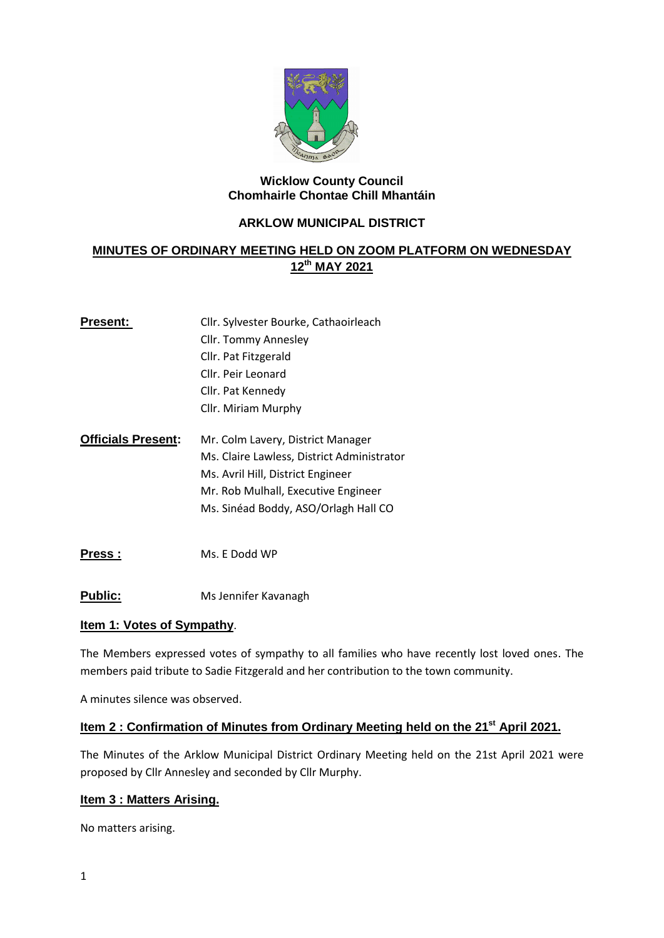

### **Wicklow County Council Chomhairle Chontae Chill Mhantáin**

# **ARKLOW MUNICIPAL DISTRICT**

# **MINUTES OF ORDINARY MEETING HELD ON ZOOM PLATFORM ON WEDNESDAY 12th MAY 2021**

| <b>Present:</b>           | Cllr. Sylvester Bourke, Cathaoirleach |
|---------------------------|---------------------------------------|
|                           | Cllr. Tommy Annesley                  |
|                           | Cllr. Pat Fitzgerald                  |
|                           | Cllr. Peir Leonard                    |
|                           | Cllr. Pat Kennedy                     |
|                           | Cllr. Miriam Murphy                   |
|                           |                                       |
| <b>Officials Present:</b> | Mr. Colm Lavery, District Manager     |

- Ms. Claire Lawless, District Administrator Ms. Avril Hill, District Engineer Mr. Rob Mulhall, Executive Engineer Ms. Sinéad Boddy, ASO/Orlagh Hall CO
- **Press :** Ms. E Dodd WP
- **Public:** Ms Jennifer Kavanagh

## **Item 1: Votes of Sympathy**.

The Members expressed votes of sympathy to all families who have recently lost loved ones. The members paid tribute to Sadie Fitzgerald and her contribution to the town community.

A minutes silence was observed.

## **Item 2 : Confirmation of Minutes from Ordinary Meeting held on the 21st April 2021.**

The Minutes of the Arklow Municipal District Ordinary Meeting held on the 21st April 2021 were proposed by Cllr Annesley and seconded by Cllr Murphy.

## **Item 3 : Matters Arising.**

No matters arising.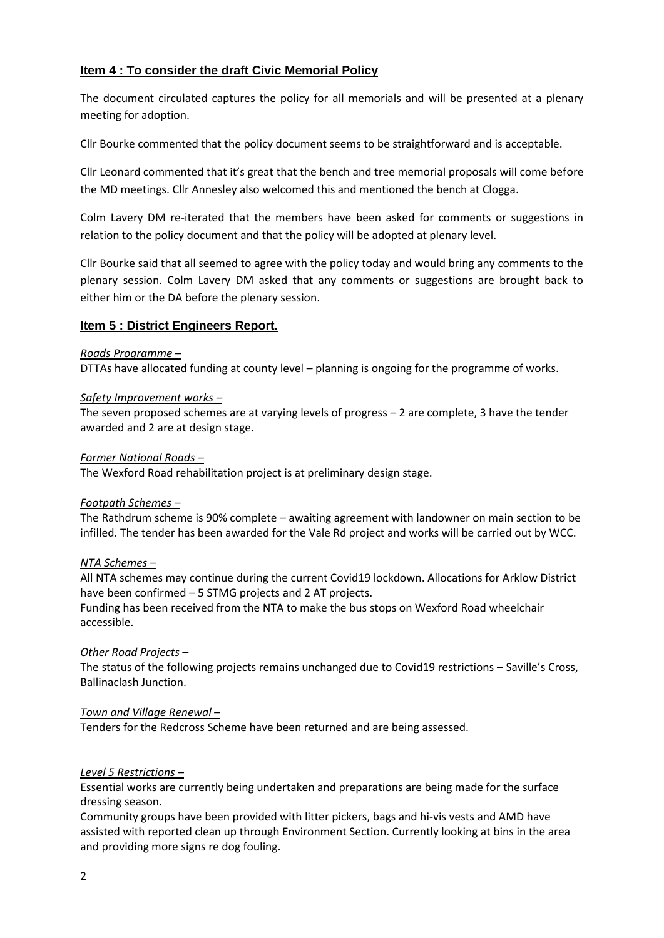## **Item 4 : To consider the draft Civic Memorial Policy**

The document circulated captures the policy for all memorials and will be presented at a plenary meeting for adoption.

Cllr Bourke commented that the policy document seems to be straightforward and is acceptable.

Cllr Leonard commented that it's great that the bench and tree memorial proposals will come before the MD meetings. Cllr Annesley also welcomed this and mentioned the bench at Clogga.

Colm Lavery DM re-iterated that the members have been asked for comments or suggestions in relation to the policy document and that the policy will be adopted at plenary level.

Cllr Bourke said that all seemed to agree with the policy today and would bring any comments to the plenary session. Colm Lavery DM asked that any comments or suggestions are brought back to either him or the DA before the plenary session.

## **Item 5 : District Engineers Report.**

#### *Roads Programme –*

DTTAs have allocated funding at county level – planning is ongoing for the programme of works.

#### *Safety Improvement works –*

The seven proposed schemes are at varying levels of progress – 2 are complete, 3 have the tender awarded and 2 are at design stage.

#### *Former National Roads –*

The Wexford Road rehabilitation project is at preliminary design stage.

### *Footpath Schemes –*

The Rathdrum scheme is 90% complete – awaiting agreement with landowner on main section to be infilled. The tender has been awarded for the Vale Rd project and works will be carried out by WCC.

### *NTA Schemes –*

All NTA schemes may continue during the current Covid19 lockdown. Allocations for Arklow District have been confirmed – 5 STMG projects and 2 AT projects.

Funding has been received from the NTA to make the bus stops on Wexford Road wheelchair accessible.

### *Other Road Projects –*

The status of the following projects remains unchanged due to Covid19 restrictions – Saville's Cross, Ballinaclash Junction.

### *Town and Village Renewal –*

Tenders for the Redcross Scheme have been returned and are being assessed.

### *Level 5 Restrictions –*

Essential works are currently being undertaken and preparations are being made for the surface dressing season.

Community groups have been provided with litter pickers, bags and hi-vis vests and AMD have assisted with reported clean up through Environment Section. Currently looking at bins in the area and providing more signs re dog fouling.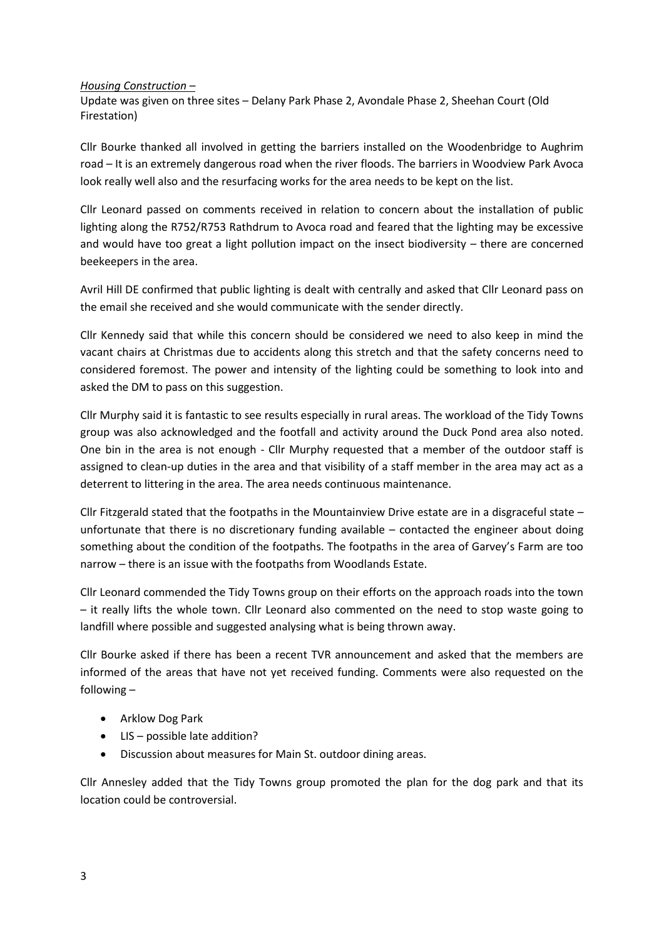#### *Housing Construction –*

Update was given on three sites – Delany Park Phase 2, Avondale Phase 2, Sheehan Court (Old Firestation)

Cllr Bourke thanked all involved in getting the barriers installed on the Woodenbridge to Aughrim road – It is an extremely dangerous road when the river floods. The barriers in Woodview Park Avoca look really well also and the resurfacing works for the area needs to be kept on the list.

Cllr Leonard passed on comments received in relation to concern about the installation of public lighting along the R752/R753 Rathdrum to Avoca road and feared that the lighting may be excessive and would have too great a light pollution impact on the insect biodiversity – there are concerned beekeepers in the area.

Avril Hill DE confirmed that public lighting is dealt with centrally and asked that Cllr Leonard pass on the email she received and she would communicate with the sender directly.

Cllr Kennedy said that while this concern should be considered we need to also keep in mind the vacant chairs at Christmas due to accidents along this stretch and that the safety concerns need to considered foremost. The power and intensity of the lighting could be something to look into and asked the DM to pass on this suggestion.

Cllr Murphy said it is fantastic to see results especially in rural areas. The workload of the Tidy Towns group was also acknowledged and the footfall and activity around the Duck Pond area also noted. One bin in the area is not enough - Cllr Murphy requested that a member of the outdoor staff is assigned to clean-up duties in the area and that visibility of a staff member in the area may act as a deterrent to littering in the area. The area needs continuous maintenance.

Cllr Fitzgerald stated that the footpaths in the Mountainview Drive estate are in a disgraceful state – unfortunate that there is no discretionary funding available – contacted the engineer about doing something about the condition of the footpaths. The footpaths in the area of Garvey's Farm are too narrow – there is an issue with the footpaths from Woodlands Estate.

Cllr Leonard commended the Tidy Towns group on their efforts on the approach roads into the town – it really lifts the whole town. Cllr Leonard also commented on the need to stop waste going to landfill where possible and suggested analysing what is being thrown away.

Cllr Bourke asked if there has been a recent TVR announcement and asked that the members are informed of the areas that have not yet received funding. Comments were also requested on the following –

- Arklow Dog Park
- LIS possible late addition?
- Discussion about measures for Main St. outdoor dining areas.

Cllr Annesley added that the Tidy Towns group promoted the plan for the dog park and that its location could be controversial.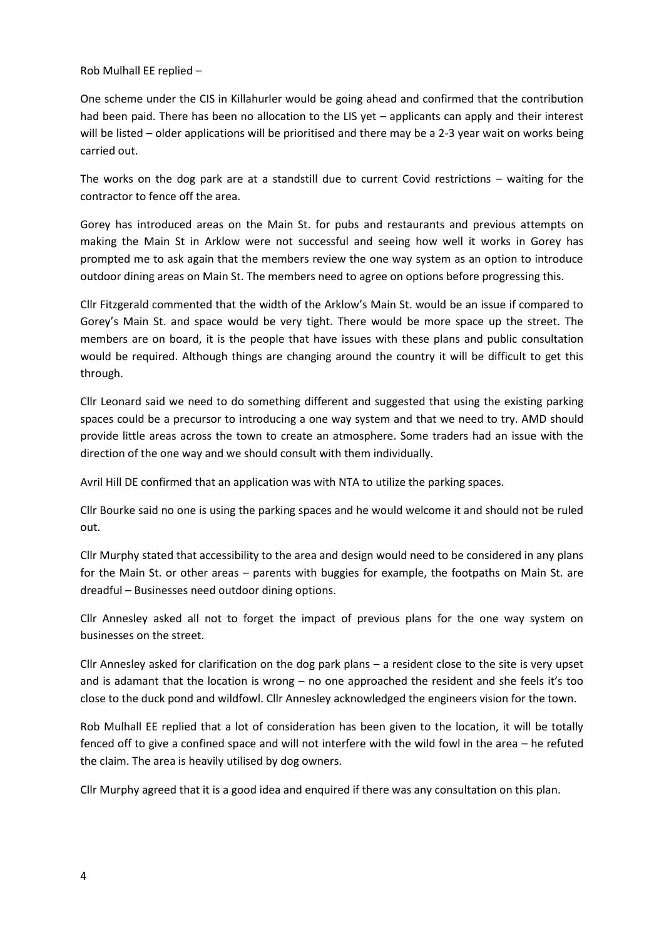Rob Mulhall EE replied –

One scheme under the CIS in Killahurler would be going ahead and confirmed that the contribution had been paid. There has been no allocation to the LIS yet – applicants can apply and their interest will be listed – older applications will be prioritised and there may be a 2-3 year wait on works being carried out.

The works on the dog park are at a standstill due to current Covid restrictions – waiting for the contractor to fence off the area.

Gorey has introduced areas on the Main St. for pubs and restaurants and previous attempts on making the Main St in Arklow were not successful and seeing how well it works in Gorey has prompted me to ask again that the members review the one way system as an option to introduce outdoor dining areas on Main St. The members need to agree on options before progressing this.

Cllr Fitzgerald commented that the width of the Arklow's Main St. would be an issue if compared to Gorey's Main St. and space would be very tight. There would be more space up the street. The members are on board, it is the people that have issues with these plans and public consultation would be required. Although things are changing around the country it will be difficult to get this through.

Cllr Leonard said we need to do something different and suggested that using the existing parking spaces could be a precursor to introducing a one way system and that we need to try. AMD should provide little areas across the town to create an atmosphere. Some traders had an issue with the direction of the one way and we should consult with them individually.

Avril Hill DE confirmed that an application was with NTA to utilize the parking spaces.

Cllr Bourke said no one is using the parking spaces and he would welcome it and should not be ruled out.

Cllr Murphy stated that accessibility to the area and design would need to be considered in any plans for the Main St. or other areas – parents with buggies for example, the footpaths on Main St. are dreadful – Businesses need outdoor dining options.

Cllr Annesley asked all not to forget the impact of previous plans for the one way system on businesses on the street.

Cllr Annesley asked for clarification on the dog park plans – a resident close to the site is very upset and is adamant that the location is wrong – no one approached the resident and she feels it's too close to the duck pond and wildfowl. Cllr Annesley acknowledged the engineers vision for the town.

Rob Mulhall EE replied that a lot of consideration has been given to the location, it will be totally fenced off to give a confined space and will not interfere with the wild fowl in the area – he refuted the claim. The area is heavily utilised by dog owners.

Cllr Murphy agreed that it is a good idea and enquired if there was any consultation on this plan.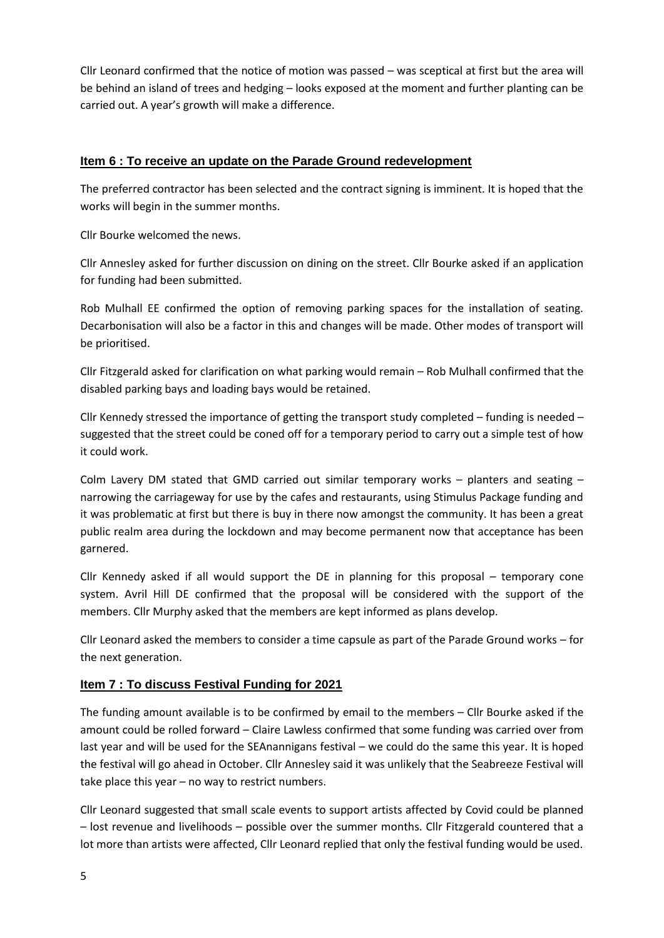Cllr Leonard confirmed that the notice of motion was passed – was sceptical at first but the area will be behind an island of trees and hedging – looks exposed at the moment and further planting can be carried out. A year's growth will make a difference.

# **Item 6 : To receive an update on the Parade Ground redevelopment**

The preferred contractor has been selected and the contract signing is imminent. It is hoped that the works will begin in the summer months.

Cllr Bourke welcomed the news.

Cllr Annesley asked for further discussion on dining on the street. Cllr Bourke asked if an application for funding had been submitted.

Rob Mulhall EE confirmed the option of removing parking spaces for the installation of seating. Decarbonisation will also be a factor in this and changes will be made. Other modes of transport will be prioritised.

Cllr Fitzgerald asked for clarification on what parking would remain – Rob Mulhall confirmed that the disabled parking bays and loading bays would be retained.

Cllr Kennedy stressed the importance of getting the transport study completed – funding is needed – suggested that the street could be coned off for a temporary period to carry out a simple test of how it could work.

Colm Lavery DM stated that GMD carried out similar temporary works – planters and seating – narrowing the carriageway for use by the cafes and restaurants, using Stimulus Package funding and it was problematic at first but there is buy in there now amongst the community. It has been a great public realm area during the lockdown and may become permanent now that acceptance has been garnered.

Cllr Kennedy asked if all would support the DE in planning for this proposal – temporary cone system. Avril Hill DE confirmed that the proposal will be considered with the support of the members. Cllr Murphy asked that the members are kept informed as plans develop.

Cllr Leonard asked the members to consider a time capsule as part of the Parade Ground works – for the next generation.

# **Item 7 : To discuss Festival Funding for 2021**

The funding amount available is to be confirmed by email to the members – Cllr Bourke asked if the amount could be rolled forward – Claire Lawless confirmed that some funding was carried over from last year and will be used for the SEAnannigans festival – we could do the same this year. It is hoped the festival will go ahead in October. Cllr Annesley said it was unlikely that the Seabreeze Festival will take place this year – no way to restrict numbers.

Cllr Leonard suggested that small scale events to support artists affected by Covid could be planned – lost revenue and livelihoods – possible over the summer months. Cllr Fitzgerald countered that a lot more than artists were affected, Cllr Leonard replied that only the festival funding would be used.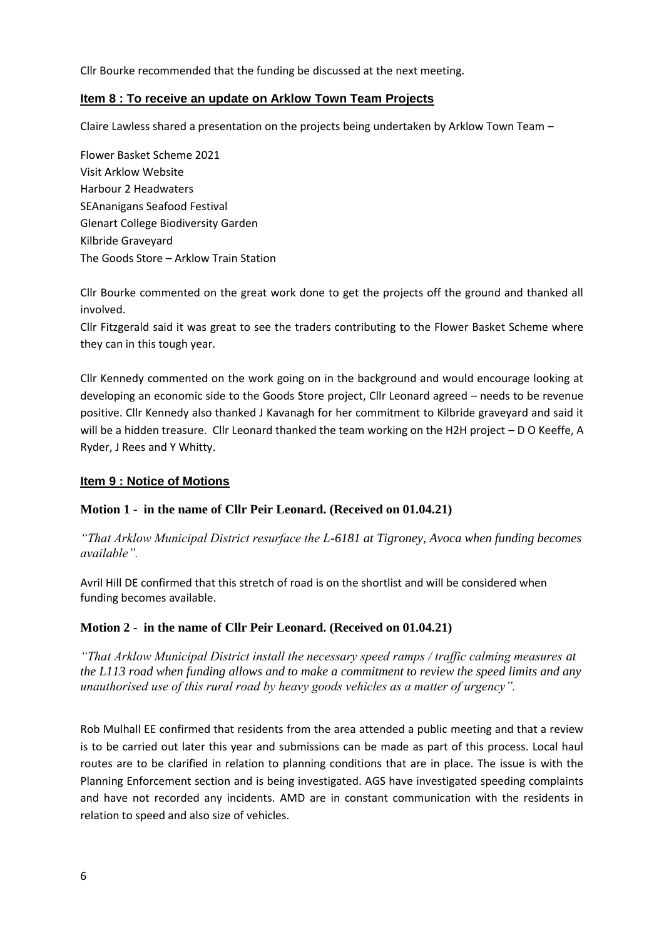Cllr Bourke recommended that the funding be discussed at the next meeting.

## **Item 8 : To receive an update on Arklow Town Team Projects**

Claire Lawless shared a presentation on the projects being undertaken by Arklow Town Team –

Flower Basket Scheme 2021 Visit Arklow Website Harbour 2 Headwaters SEAnanigans Seafood Festival Glenart College Biodiversity Garden Kilbride Graveyard The Goods Store – Arklow Train Station

Cllr Bourke commented on the great work done to get the projects off the ground and thanked all involved.

Cllr Fitzgerald said it was great to see the traders contributing to the Flower Basket Scheme where they can in this tough year.

Cllr Kennedy commented on the work going on in the background and would encourage looking at developing an economic side to the Goods Store project, Cllr Leonard agreed – needs to be revenue positive. Cllr Kennedy also thanked J Kavanagh for her commitment to Kilbride graveyard and said it will be a hidden treasure. Cllr Leonard thanked the team working on the H2H project - D O Keeffe, A Ryder, J Rees and Y Whitty.

## **Item 9 : Notice of Motions**

## **Motion 1 - in the name of Cllr Peir Leonard. (Received on 01.04.21)**

*"That Arklow Municipal District resurface the L-6181 at Tigroney, Avoca when funding becomes available".* 

Avril Hill DE confirmed that this stretch of road is on the shortlist and will be considered when funding becomes available.

## **Motion 2 - in the name of Cllr Peir Leonard. (Received on 01.04.21)**

*"That Arklow Municipal District install the necessary speed ramps / traffic calming measures at the L113 road when funding allows and to make a commitment to review the speed limits and any unauthorised use of this rural road by heavy goods vehicles as a matter of urgency".* 

Rob Mulhall EE confirmed that residents from the area attended a public meeting and that a review is to be carried out later this year and submissions can be made as part of this process. Local haul routes are to be clarified in relation to planning conditions that are in place. The issue is with the Planning Enforcement section and is being investigated. AGS have investigated speeding complaints and have not recorded any incidents. AMD are in constant communication with the residents in relation to speed and also size of vehicles.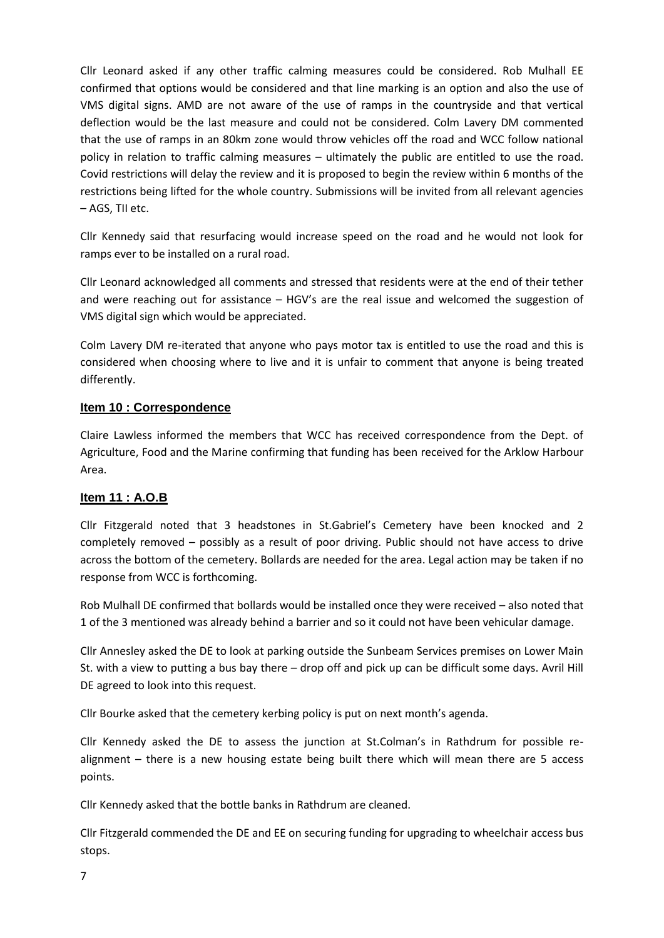Cllr Leonard asked if any other traffic calming measures could be considered. Rob Mulhall EE confirmed that options would be considered and that line marking is an option and also the use of VMS digital signs. AMD are not aware of the use of ramps in the countryside and that vertical deflection would be the last measure and could not be considered. Colm Lavery DM commented that the use of ramps in an 80km zone would throw vehicles off the road and WCC follow national policy in relation to traffic calming measures – ultimately the public are entitled to use the road. Covid restrictions will delay the review and it is proposed to begin the review within 6 months of the restrictions being lifted for the whole country. Submissions will be invited from all relevant agencies – AGS, TII etc.

Cllr Kennedy said that resurfacing would increase speed on the road and he would not look for ramps ever to be installed on a rural road.

Cllr Leonard acknowledged all comments and stressed that residents were at the end of their tether and were reaching out for assistance – HGV's are the real issue and welcomed the suggestion of VMS digital sign which would be appreciated.

Colm Lavery DM re-iterated that anyone who pays motor tax is entitled to use the road and this is considered when choosing where to live and it is unfair to comment that anyone is being treated differently.

## **Item 10 : Correspondence**

Claire Lawless informed the members that WCC has received correspondence from the Dept. of Agriculture, Food and the Marine confirming that funding has been received for the Arklow Harbour Area.

## **Item 11 : A.O.B**

Cllr Fitzgerald noted that 3 headstones in St.Gabriel's Cemetery have been knocked and 2 completely removed – possibly as a result of poor driving. Public should not have access to drive across the bottom of the cemetery. Bollards are needed for the area. Legal action may be taken if no response from WCC is forthcoming.

Rob Mulhall DE confirmed that bollards would be installed once they were received – also noted that 1 of the 3 mentioned was already behind a barrier and so it could not have been vehicular damage.

Cllr Annesley asked the DE to look at parking outside the Sunbeam Services premises on Lower Main St. with a view to putting a bus bay there – drop off and pick up can be difficult some days. Avril Hill DE agreed to look into this request.

Cllr Bourke asked that the cemetery kerbing policy is put on next month's agenda.

Cllr Kennedy asked the DE to assess the junction at St.Colman's in Rathdrum for possible realignment – there is a new housing estate being built there which will mean there are 5 access points.

Cllr Kennedy asked that the bottle banks in Rathdrum are cleaned.

Cllr Fitzgerald commended the DE and EE on securing funding for upgrading to wheelchair access bus stops.